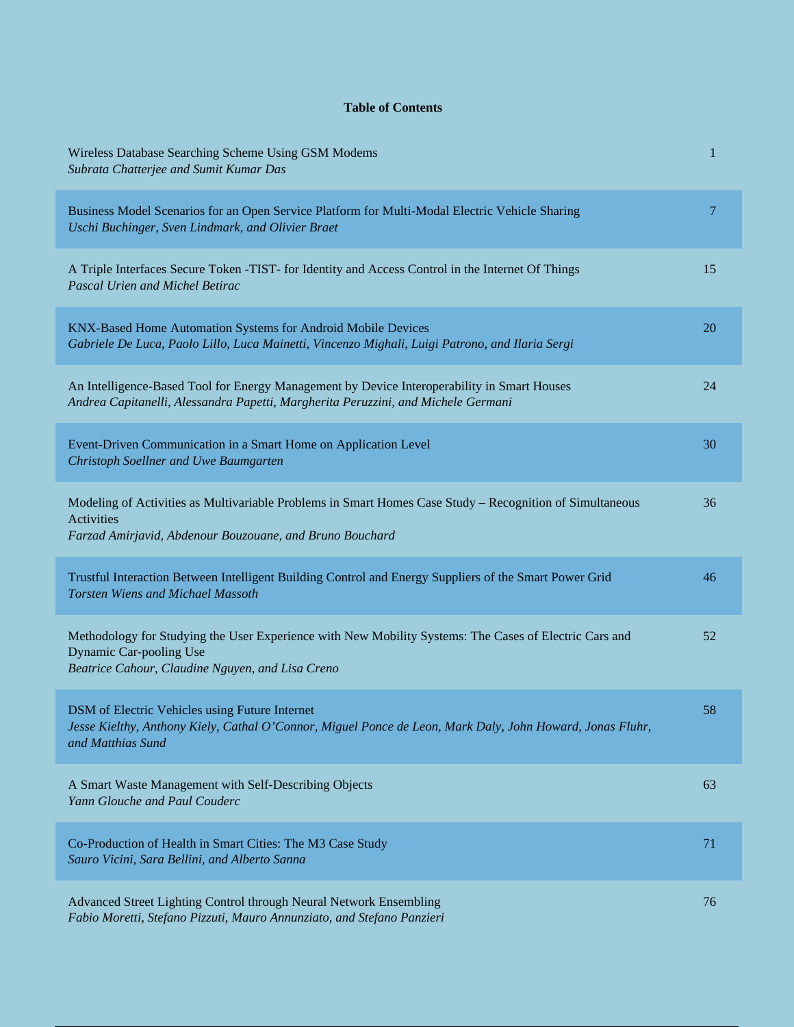## **Table of Contents**

| Wireless Database Searching Scheme Using GSM Modems<br>Subrata Chatterjee and Sumit Kumar Das                                                                                             | $\mathbf{1}$ |
|-------------------------------------------------------------------------------------------------------------------------------------------------------------------------------------------|--------------|
| Business Model Scenarios for an Open Service Platform for Multi-Modal Electric Vehicle Sharing<br>Uschi Buchinger, Sven Lindmark, and Olivier Braet                                       | 7            |
| A Triple Interfaces Secure Token -TIST- for Identity and Access Control in the Internet Of Things<br><b>Pascal Urien and Michel Betirac</b>                                               | 15           |
| KNX-Based Home Automation Systems for Android Mobile Devices<br>Gabriele De Luca, Paolo Lillo, Luca Mainetti, Vincenzo Mighali, Luigi Patrono, and Ilaria Sergi                           | 20           |
| An Intelligence-Based Tool for Energy Management by Device Interoperability in Smart Houses<br>Andrea Capitanelli, Alessandra Papetti, Margherita Peruzzini, and Michele Germani          | 24           |
| Event-Driven Communication in a Smart Home on Application Level<br>Christoph Soellner and Uwe Baumgarten                                                                                  | 30           |
| Modeling of Activities as Multivariable Problems in Smart Homes Case Study - Recognition of Simultaneous<br><b>Activities</b><br>Farzad Amirjavid, Abdenour Bouzouane, and Bruno Bouchard | 36           |
| Trustful Interaction Between Intelligent Building Control and Energy Suppliers of the Smart Power Grid<br><b>Torsten Wiens and Michael Massoth</b>                                        | 46           |
| Methodology for Studying the User Experience with New Mobility Systems: The Cases of Electric Cars and<br>Dynamic Car-pooling Use<br>Beatrice Cahour, Claudine Nguyen, and Lisa Creno     | 52           |
| DSM of Electric Vehicles using Future Internet<br>Jesse Kielthy, Anthony Kiely, Cathal O'Connor, Miguel Ponce de Leon, Mark Daly, John Howard, Jonas Fluhr,<br>and Matthias Sund          | 58           |
| A Smart Waste Management with Self-Describing Objects<br>Yann Glouche and Paul Couderc                                                                                                    | 63           |
| Co-Production of Health in Smart Cities: The M3 Case Study<br>Sauro Vicini, Sara Bellini, and Alberto Sanna                                                                               | 71           |
| Advanced Street Lighting Control through Neural Network Ensembling<br>Fabio Moretti, Stefano Pizzuti, Mauro Annunziato, and Stefano Panzieri                                              | 76           |